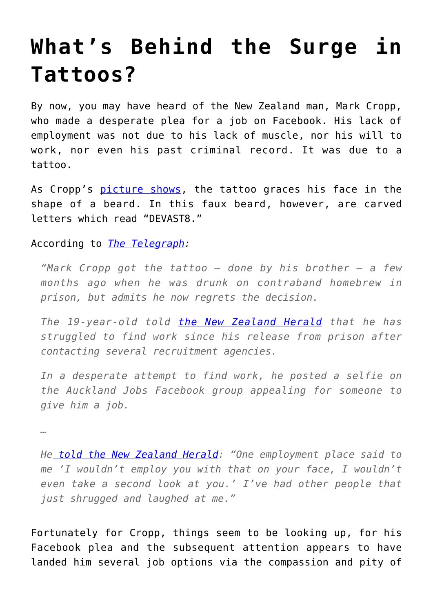## **[What's Behind the Surge in](https://intellectualtakeout.org/2017/07/whats-behind-the-surge-in-tattoos/) [Tattoos?](https://intellectualtakeout.org/2017/07/whats-behind-the-surge-in-tattoos/)**

By now, you may have heard of the New Zealand man, Mark Cropp, who made a desperate plea for a job on Facebook. His lack of employment was not due to his lack of muscle, nor his will to work, nor even his past criminal record. It was due to a tattoo.

As Cropp's [picture shows](http://www.telegraph.co.uk/news/2017/07/14/man-devast8-face-tattoo-struggling-get-job/), the tattoo graces his face in the shape of a beard. In this faux beard, however, are carved letters which read "DEVAST8."

According to *[The Telegraph:](http://www.telegraph.co.uk/news/2017/07/14/man-devast8-face-tattoo-struggling-get-job/)*

*"Mark Cropp got the tattoo – done by his brother – a few months ago when he was drunk on contraband homebrew in prison, but admits he now regrets the decision.*

*The 19-year-old told [the New Zealand Herald](http://www.nzherald.co.nz/nz/news/article.cfm?c_id=1&objectid=11889732) that he has struggled to find work since his release from prison after contacting several recruitment agencies.*

*In a desperate attempt to find work, he posted a selfie on the Auckland Jobs Facebook group appealing for someone to give him a job.*

*…*

*H[e told the New Zealand Herald](http://www.nzherald.co.nz/nz/news/article.cfm?c_id=1&objectid=11889732): "One employment place said to me 'I wouldn't employ you with that on your face, I wouldn't even take a second look at you.' I've had other people that just shrugged and laughed at me."*

Fortunately for Cropp, things seem to be looking up, for his Facebook plea and the subsequent attention appears to have landed him several job options via the compassion and pity of